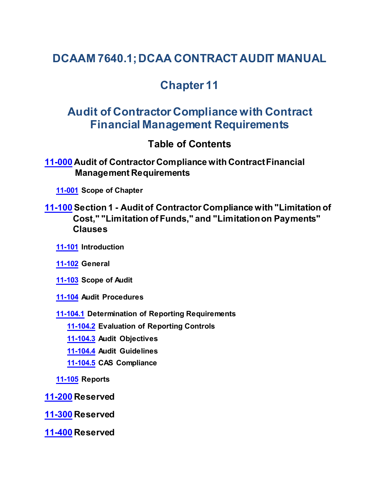# **DCAAM 7640.1; DCAA CONTRACT AUDIT MANUAL**

# **Chapter 11**

# **Audit of Contractor Compliance with Contract Financial Management Requirements**

## <span id="page-0-1"></span><span id="page-0-0"></span>**Table of Contents**

**[11-000](#page-1-0) Audit of Contractor Compliance with Contract Financial Management Requirements**

**[11-001](#page-1-1) Scope of Chapter**

## **[11-100](#page-1-2) Section 1 - Audit of Contractor Compliance with "Limitation of Cost," "Limitation of Funds," and "Limitation on Payments" Clauses**

<span id="page-0-3"></span><span id="page-0-2"></span>**[11-101](#page-1-3) Introduction**

<span id="page-0-4"></span>**[11-102](#page-1-4) General**

<span id="page-0-5"></span>**[11-103](#page-2-0) Scope of Audit**

**[11-104](#page-2-1) Audit Procedures**

**[11-104.1](#page-2-2) Determination of Reporting Requirements**

<span id="page-0-8"></span><span id="page-0-7"></span><span id="page-0-6"></span>**[11-104.2](#page-3-0) Evaluation of Reporting Controls**

<span id="page-0-9"></span>**[11-104.3](#page-4-0) Audit Objectives**

<span id="page-0-10"></span>**[11-104.4](#page-4-1) Audit Guidelines**

<span id="page-0-12"></span><span id="page-0-11"></span>**[11-104.5](#page-6-0) CAS Compliance**

**[11-105](#page-6-1) Reports**

**[11-200](#page-6-2) Reserved**

**[11-300](#page-6-3) Reserved**

**[11-400](#page-6-4) Reserved**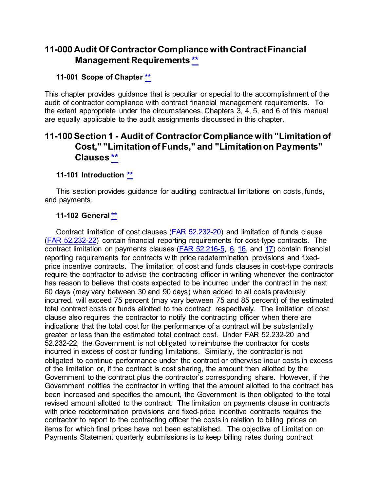## <span id="page-1-0"></span>**11-000 Audit Of Contractor Compliance with Contract Financial Management Requirements [\\*\\*](#page-0-0)**

#### <span id="page-1-1"></span>**11-001 Scope of Chapter [\\*\\*](#page-0-1)**

This chapter provides guidance that is peculiar or special to the accomplishment of the audit of contractor compliance with contract financial management requirements. To the extent appropriate under the circumstances, Chapters 3, 4, 5, and 6 of this manual are equally applicable to the audit assignments discussed in this chapter.

## <span id="page-1-2"></span>**11-100 Section 1 - Audit of Contractor Compliance with "Limitation of Cost," "Limitation of Funds," and "Limitation on Payments" Clauses [\\*\\*](#page-0-2)**

#### <span id="page-1-3"></span>**11-101 Introduction [\\*\\*](#page-0-3)**

This section provides guidance for auditing contractual limitations on costs, funds, and payments.

#### <span id="page-1-4"></span>**11-102 Genera[l\\*\\*](#page-0-4)**

Contract limitation of cost clauses [\(FAR 52.232-20\)](http://www.ecfr.gov/cgi-bin/text-idx?SID=8d06831f078f8f5d113aa3294b57ca0c&mc=true&node=se48.2.52_1232_620&rgn=div8) and limitation of funds clause [\(FAR 52.232-22\)](http://www.ecfr.gov/cgi-bin/text-idx?SID=8d06831f078f8f5d113aa3294b57ca0c&mc=true&node=se48.2.52_1232_622&rgn=div8) contain financial reporting requirements for cost-type contracts. The contract limitation on payments clauses [\(FAR 52.216-5,](http://www.ecfr.gov/cgi-bin/text-idx?SID=8d06831f078f8f5d113aa3294b57ca0c&mc=true&node=se48.2.52_1215_65&rgn=div8) [6,](http://www.ecfr.gov/cgi-bin/text-idx?SID=8d06831f078f8f5d113aa3294b57ca0c&mc=true&node=se48.2.52_1215_66&rgn=div8) [16,](http://www.ecfr.gov/cgi-bin/text-idx?SID=8d06831f078f8f5d113aa3294b57ca0c&mc=true&node=se48.2.52_1215_616&rgn=div8) and [17\)](http://www.ecfr.gov/cgi-bin/text-idx?SID=8d06831f078f8f5d113aa3294b57ca0c&mc=true&node=se48.2.52_1215_617&rgn=div8) contain financial reporting requirements for contracts with price redetermination provisions and fixedprice incentive contracts. The limitation of cost and funds clauses in cost-type contracts require the contractor to advise the contracting officer in writing whenever the contractor has reason to believe that costs expected to be incurred under the contract in the next 60 days (may vary between 30 and 90 days) when added to all costs previously incurred, will exceed 75 percent (may vary between 75 and 85 percent) of the estimated total contract costs or funds allotted to the contract, respectively. The limitation of cost clause also requires the contractor to notify the contracting officer when there are indications that the total cost for the performance of a contract will be substantially greater or less than the estimated total contract cost. Under FAR 52.232-20 and 52.232-22, the Government is not obligated to reimburse the contractor for costs incurred in excess of cost or funding limitations. Similarly, the contractor is not obligated to continue performance under the contract or otherwise incur costs in excess of the limitation or, if the contract is cost sharing, the amount then allotted by the Government to the contract plus the contractor's corresponding share. However, if the Government notifies the contractor in writing that the amount allotted to the contract has been increased and specifies the amount, the Government is then obligated to the total revised amount allotted to the contract. The limitation on payments clause in contracts with price redetermination provisions and fixed-price incentive contracts requires the contractor to report to the contracting officer the costs in relation to billing prices on items for which final prices have not been established. The objective of Limitation on Payments Statement quarterly submissions is to keep billing rates during contract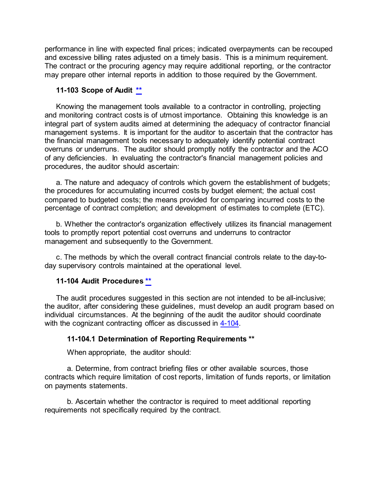performance in line with expected final prices; indicated overpayments can be recouped and excessive billing rates adjusted on a timely basis. This is a minimum requirement. The contract or the procuring agency may require additional reporting, or the contractor may prepare other internal reports in addition to those required by the Government.

#### <span id="page-2-0"></span>**11-103 Scope of Audit [\\*\\*](#page-0-5)**

Knowing the management tools available to a contractor in controlling, projecting and monitoring contract costs is of utmost importance. Obtaining this knowledge is an integral part of system audits aimed at determining the adequacy of contractor financial management systems. It is important for the auditor to ascertain that the contractor has the financial management tools necessary to adequately identify potential contract overruns or underruns. The auditor should promptly notify the contractor and the ACO of any deficiencies. In evaluating the contractor's financial management policies and procedures, the auditor should ascertain:

a. The nature and adequacy of controls which govern the establishment of budgets; the procedures for accumulating incurred costs by budget element; the actual cost compared to budgeted costs; the means provided for comparing incurred costs to the percentage of contract completion; and development of estimates to complete (ETC).

b. Whether the contractor's organization effectively utilizes its financial management tools to promptly report potential cost overruns and underruns to contractor management and subsequently to the Government.

c. The methods by which the overall contract financial controls relate to the day-today supervisory controls maintained at the operational level.

#### <span id="page-2-1"></span>**11-104 Audit Procedures [\\*\\*](#page-0-6)**

The audit procedures suggested in this section are not intended to be all-inclusive; the auditor, after considering these guidelines, must develop an audit program based on individual circumstances. At the beginning of the audit the auditor should coordinate with the cognizant contracting officer as discussed in [4-104.](https://viper.dcaa.mil/guidance/cam/3130/general-audit-requirements#Sec4104)

#### <span id="page-2-2"></span>**11-104.1 Determination of Reporting Requirements [\\*\\*](#page-0-7)**

When appropriate, the auditor should:

a. Determine, from contract briefing files or other available sources, those contracts which require limitation of cost reports, limitation of funds reports, or limitation on payments statements.

b. Ascertain whether the contractor is required to meet additional reporting requirements not specifically required by the contract.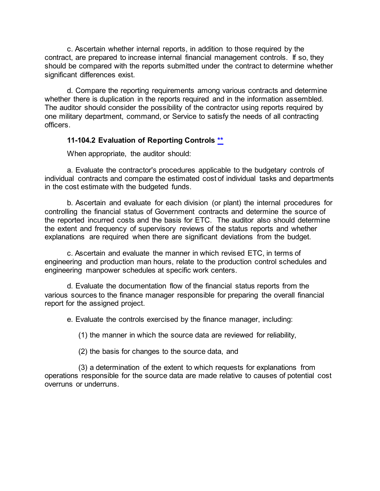c. Ascertain whether internal reports, in addition to those required by the contract, are prepared to increase internal financial management controls. If so, they should be compared with the reports submitted under the contract to determine whether significant differences exist.

d. Compare the reporting requirements among various contracts and determine whether there is duplication in the reports required and in the information assembled. The auditor should consider the possibility of the contractor using reports required by one military department, command, or Service to satisfy the needs of all contracting officers.

#### <span id="page-3-0"></span>**11-104.2 Evaluation of Reporting Controls [\\*\\*](#page-0-8)**

When appropriate, the auditor should:

a. Evaluate the contractor's procedures applicable to the budgetary controls of individual contracts and compare the estimated cost of individual tasks and departments in the cost estimate with the budgeted funds.

b. Ascertain and evaluate for each division (or plant) the internal procedures for controlling the financial status of Government contracts and determine the source of the reported incurred costs and the basis for ETC. The auditor also should determine the extent and frequency of supervisory reviews of the status reports and whether explanations are required when there are significant deviations from the budget.

c. Ascertain and evaluate the manner in which revised ETC, in terms of engineering and production man hours, relate to the production control schedules and engineering manpower schedules at specific work centers.

d. Evaluate the documentation flow of the financial status reports from the various sources to the finance manager responsible for preparing the overall financial report for the assigned project.

e. Evaluate the controls exercised by the finance manager, including:

(1) the manner in which the source data are reviewed for reliability,

(2) the basis for changes to the source data, and

(3) a determination of the extent to which requests for explanations from operations responsible for the source data are made relative to causes of potential cost overruns or underruns.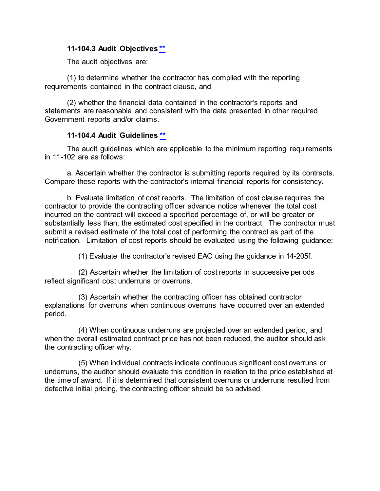#### <span id="page-4-0"></span>**11-104.3 Audit Objectives [\\*\\*](#page-0-9)**

The audit objectives are:

(1) to determine whether the contractor has complied with the reporting requirements contained in the contract clause, and

(2) whether the financial data contained in the contractor's reports and statements are reasonable and consistent with the data presented in other required Government reports and/or claims.

#### **11-104.4 Audit Guidelines [\\*\\*](#page-0-10)**

<span id="page-4-1"></span>The audit guidelines which are applicable to the minimum reporting requirements in 11-102 are as follows:

a. Ascertain whether the contractor is submitting reports required by its contracts. Compare these reports with the contractor's internal financial reports for consistency.

b. Evaluate limitation of cost reports. The limitation of cost clause requires the contractor to provide the contracting officer advance notice whenever the total cost incurred on the contract will exceed a specified percentage of, or will be greater or substantially less than, the estimated cost specified in the contract. The contractor must submit a revised estimate of the total cost of performing the contract as part of the notification. Limitation of cost reports should be evaluated using the following guidance:

(1) Evaluate the contractor's revised EAC using the guidance in 14-205f.

(2) Ascertain whether the limitation of cost reports in successive periods reflect significant cost underruns or overruns.

(3) Ascertain whether the contracting officer has obtained contractor explanations for overruns when continuous overruns have occurred over an extended period.

(4) When continuous underruns are projected over an extended period, and when the overall estimated contract price has not been reduced, the auditor should ask the contracting officer why.

(5) When individual contracts indicate continuous significant cost overruns or underruns, the auditor should evaluate this condition in relation to the price established at the time of award. If it is determined that consistent overruns or underruns resulted from defective initial pricing, the contracting officer should be so advised.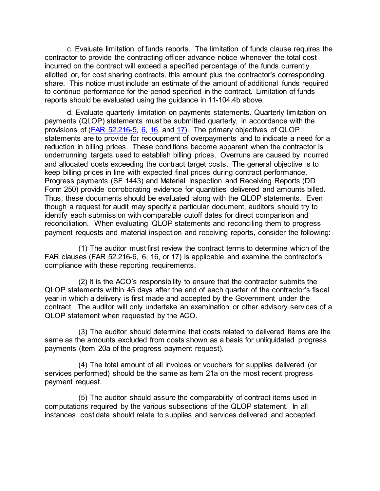c. Evaluate limitation of funds reports. The limitation of funds clause requires the contractor to provide the contracting officer advance notice whenever the total cost incurred on the contract will exceed a specified percentage of the funds currently allotted or, for cost sharing contracts, this amount plus the contractor's corresponding share. This notice must include an estimate of the amount of additional funds required to continue performance for the period specified in the contract. Limitation of funds reports should be evaluated using the guidance in 11-104.4b above.

d. Evaluate quarterly limitation on payments statements. Quarterly limitation on payments (QLOP) statements must be submitted quarterly, in accordance with the provisions of [\(FAR 52.216-5,](http://www.ecfr.gov/cgi-bin/text-idx?SID=8d06831f078f8f5d113aa3294b57ca0c&mc=true&node=se48.2.52_1215_65&rgn=div8) [6,](http://www.ecfr.gov/cgi-bin/text-idx?SID=8d06831f078f8f5d113aa3294b57ca0c&mc=true&node=se48.2.52_1215_66&rgn=div8) [16,](http://www.ecfr.gov/cgi-bin/text-idx?SID=8d06831f078f8f5d113aa3294b57ca0c&mc=true&node=se48.2.52_1215_616&rgn=div8) and [17\)](http://www.ecfr.gov/cgi-bin/text-idx?SID=8d06831f078f8f5d113aa3294b57ca0c&mc=true&node=se48.2.52_1215_617&rgn=div8). The primary objectives of QLOP statements are to provide for recoupment of overpayments and to indicate a need for a reduction in billing prices. These conditions become apparent when the contractor is underrunning targets used to establish billing prices. Overruns are caused by incurred and allocated costs exceeding the contract target costs. The general objective is to keep billing prices in line with expected final prices during contract performance. Progress payments (SF 1443) and Material Inspection and Receiving Reports (DD Form 250) provide corroborating evidence for quantities delivered and amounts billed. Thus, these documents should be evaluated along with the QLOP statements. Even though a request for audit may specify a particular document, auditors should try to identify each submission with comparable cutoff dates for direct comparison and reconciliation. When evaluating QLOP statements and reconciling them to progress payment requests and material inspection and receiving reports, consider the following:

(1) The auditor must first review the contract terms to determine which of the FAR clauses (FAR 52.216-6, 6, 16, or 17) is applicable and examine the contractor's compliance with these reporting requirements.

(2) It is the ACO's responsibility to ensure that the contractor submits the QLOP statements within 45 days after the end of each quarter of the contractor's fiscal year in which a delivery is first made and accepted by the Government under the contract. The auditor will only undertake an examination or other advisory services of a QLOP statement when requested by the ACO.

(3) The auditor should determine that costs related to delivered items are the same as the amounts excluded from costs shown as a basis for unliquidated progress payments (Item 20a of the progress payment request).

(4) The total amount of all invoices or vouchers for supplies delivered (or services performed) should be the same as Item 21a on the most recent progress payment request.

(5) The auditor should assure the comparability of contract items used in computations required by the various subsections of the QLOP statement. In all instances, cost data should relate to supplies and services delivered and accepted.